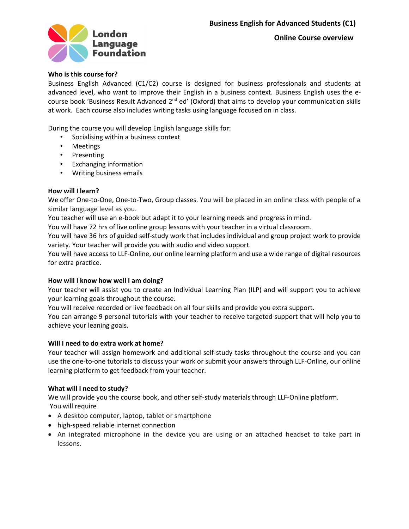



# **Who is this course for?**

Business English Advanced (C1/C2) course is designed for business professionals and students at advanced level, who want to improve their English in a business context. Business English uses the ecourse book 'Business Result Advanced 2<sup>nd</sup> ed' (Oxford) that aims to develop your communication skills at work. Each course also includes writing tasks using language focused on in class.

During the course you will develop English language skills for:

- Socialising within a business context
- Meetings
- Presenting
- Exchanging information
- Writing business emails

## **How will I learn?**

We offer One-to-One, One-to-Two, Group classes. You will be placed in an online class with people of a similar language level as you.

You teacher will use an e-book but adapt it to your learning needs and progress in mind.

You will have 72 hrs of live online group lessons with your teacher in a virtual classroom.

You will have 36 hrs of guided self-study work that includes individual and group project work to provide variety. Your teacher will provide you with audio and video support.

You will have access to LLF-Online, our online learning platform and use a wide range of digital resources for extra practice.

### **How will I know how well I am doing?**

Your teacher will assist you to create an Individual Learning Plan (ILP) and will support you to achieve your learning goals throughout the course.

You will receive recorded or live feedback on all four skills and provide you extra support.

You can arrange 9 personal tutorials with your teacher to receive targeted support that will help you to achieve your leaning goals.

### **Will I need to do extra work at home?**

Your teacher will assign homework and additional self-study tasks throughout the course and you can use the one-to-one tutorials to discuss your work or submit your answers through LLF-Online, our online learning platform to get feedback from your teacher.

### **What will I need to study?**

We will provide you the course book, and other self-study materials through LLF-Online platform. You will require

- A desktop computer, laptop, tablet or smartphone
- high-speed reliable internet connection
- An integrated microphone in the device you are using or an attached headset to take part in lessons.